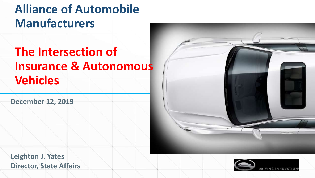### **Alliance of Automobile Manufacturers**

### **The Intersection of Insurance & Autonomous Vehicles**

**December 12, 2019**



**Leighton J. Yates Director, State Affairs**

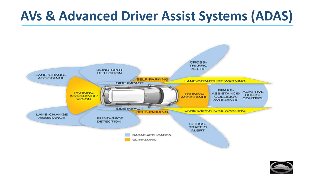# **AVs & Advanced Driver Assist Systems (ADAS)**



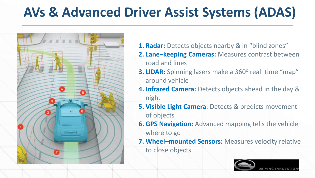# **AVs & Advanced Driver Assist Systems (ADAS)**



- **1. Radar:** Detects objects nearby & in "blind zones"
- **2. Lane–keeping Cameras:** Measures contrast between road and lines
- **3. LIDAR:** Spinning lasers make a 360° real-time "map" around vehicle
- **4. Infrared Camera:** Detects objects ahead in the day & night
- **5. Visible Light Camera**: Detects & predicts movement of objects
- **6. GPS Navigation:** Advanced mapping tells the vehicle where to go
- **7. Wheel–mounted Sensors:** Measures velocity relative

to close objects

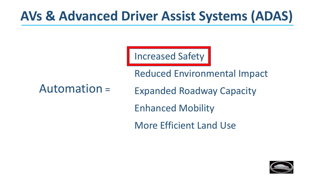# **AVs & Advanced Driver Assist Systems (ADAS)**

Increased Safety

Reduced Environmental Impact

#### Automation =

Expanded Roadway Capacity

Enhanced Mobility

More Efficient Land Use

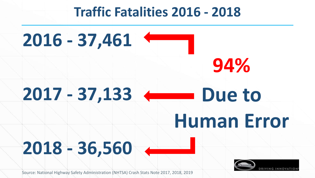### **Traffic Fatalities 2016 - 2018**





Source: National Highway Safety Administration (NHTSA) Crash Stats Note 2017, 2018, 2019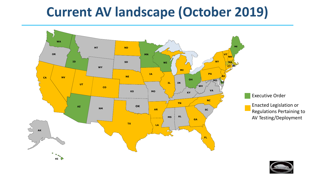# **Current AV landscape (October 2019)**



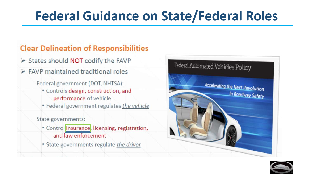# **Federal Guidance on State/Federal Roles**

#### **Clear Delineation of Responsibilities**

- States should NOT codify the FAVP
- $\triangleright$  FAVP maintained traditional roles

Federal government (DOT, NHTSA):

• Controls design, construction, and performance of vehicle

• Federal government regulates the vehicle

State governments:

- Control insurance licensing, registration, and law enforcement
- State governments regulate the driver



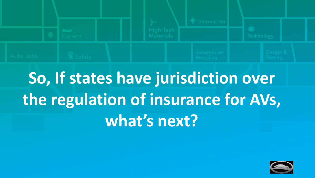

# **So, If states have jurisdiction over the regulation of insurance for AVs, what's next?**

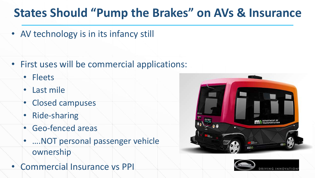### **States Should "Pump the Brakes" on AVs & Insurance**

• AV technology is in its infancy still

- First uses will be commercial applications:
	- Fleets
	- Last mile
	- Closed campuses
	- Ride-sharing
	- Geo-fenced areas
	- ….NOT personal passenger vehicle ownership
- Commercial Insurance vs PPI



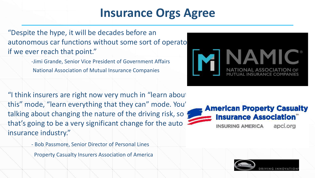### **Insurance Orgs Agree**

"Despite the hype, it will be decades before an autonomous car functions without some sort of operator if we ever reach that point."

> -Jimi Grande, Senior Vice President of Government Affairs National Association of Mutual Insurance Companies

"I think insurers are right now very much in "learn about this" mode, "learn everything that they can" mode. You' talking about changing the nature of the driving risk, so that's going to be a very significant change for the auto insurance industry."

- Bob Passmore, Senior Director of Personal Lines

Property Casualty Insurers Association of America





apci.org **INSURING AMERICA** 

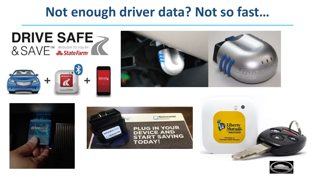## **Not enough driver data? Not so fast…**











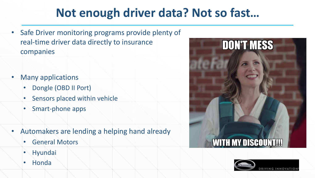### **Not enough driver data? Not so fast…**

- Safe Driver monitoring programs provide plenty of real-time driver data directly to insurance companies
- **Many applications** 
	- Dongle (OBD II Port)
	- Sensors placed within vehicle
	- Smart-phone apps
- Automakers are lending a helping hand already
	- General Motors
	- **Hyundai**
	- Honda



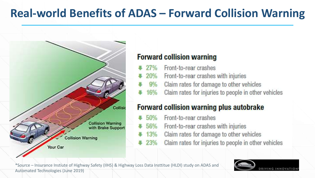### **Real-world Benefits of ADAS – Forward Collision Warning**



#### **Forward collision warning**

- Front-to-rear crashes 27%
- 20% Front-to-rear crashes with injuries
- Claim rates for damage to other vehicles  $9%$
- Claim rates for injuries to people in other vehicles 16%

#### **Forward collision warning plus autobrake**

- Front-to-rear crashes  $50%$
- Front-to-rear crashes with injuries 56%
- Claim rates for damage to other vehicles  $13%$
- Claim rates for injuries to people in other vehicles  $23%$

\*Source – Insurance Instiute of Highway Safety (IIHS) & Highway Loss Data Institue (HLDI) study on ADAS and **Automated Technologies (June 2019)** 

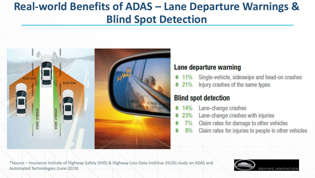#### **Real-world Benefits of ADAS - Lane Departure Warnings & Blind Spot Detection**



#### Lane departure warning

- 11% Single-vehicle, sideswipe and head-on crashes
- Injury crashes of the same types  $21%$

#### **Blind spot detection**

- Lane-change crashes 14%
- Lane-change crashes with injuries 23%
- Claim rates for damage to other vehicles  $7\%$
- Claim rates for injuries to people in other vehicles  $8%$

\*Source – Insurance Instiute of Highway Safety (IIHS) & Highway Loss Data Insttitue (HLDI) study on ADAS and Automated Technologies (June 2019)

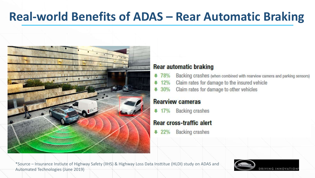### **Real-world Benefits of ADAS – Rear Automatic Braking**



#### **Rear automatic braking**

- Backing crashes (when combined with rearview camera and parking sensors) IJ. **78%**
- Claim rates for damage to the insured vehicle 12%
- Claim rates for damage to other vehicles  $430%$

#### **Rearview cameras**

**Backing crashes**  $17%$ 

#### **Rear cross-traffic alert**

**Backing crashes**  $22%$ 

\*Source – Insurance Instiute of Highway Safety (IIHS) & Highway Loss Data Insttitue (HLDI) study on ADAS and Automated Technologies (June 2019)

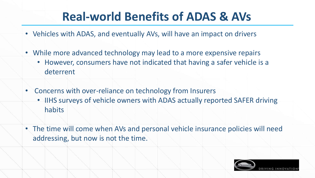### **Real-world Benefits of ADAS & AVs**

- Vehicles with ADAS, and eventually AVs, will have an impact on drivers
- While more advanced technology may lead to a more expensive repairs
	- However, consumers have not indicated that having a safer vehicle is a deterrent
- Concerns with over-reliance on technology from Insurers
	- IIHS surveys of vehicle owners with ADAS actually reported SAFER driving habits
- The time will come when AVs and personal vehicle insurance policies will need addressing, but now is not the time.